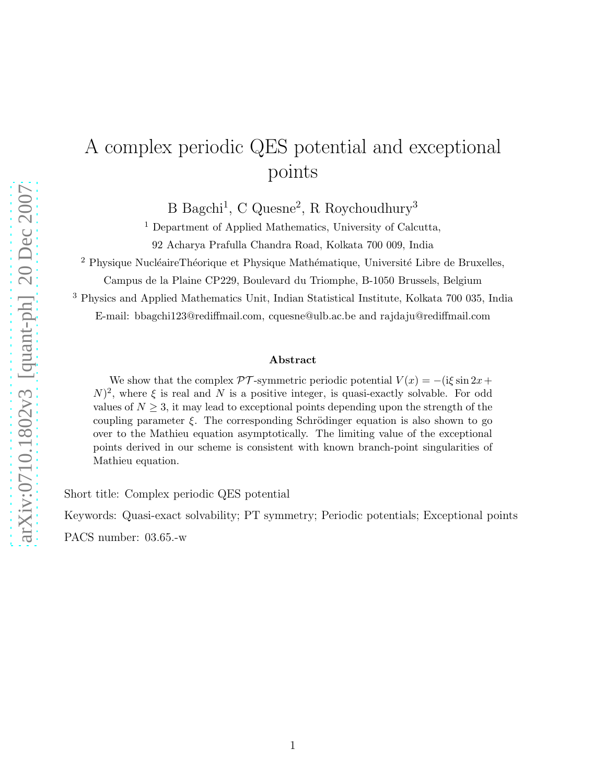## A complex periodic QES potential and exceptional points

B Bagchi<sup>1</sup>, C Quesne<sup>2</sup>, R Roychoudhury<sup>3</sup>

<sup>1</sup> Department of Applied Mathematics, University of Calcutta,

92 Acharya Prafulla Chandra Road, Kolkata 700 009, India

 $2$  Physique NucléaireThéorique et Physique Mathématique, Université Libre de Bruxelles,

Campus de la Plaine CP229, Boulevard du Triomphe, B-1050 Brussels, Belgium

<sup>3</sup> Physics and Applied Mathematics Unit, Indian Statistical Institute, Kolkata 700 035, India

E-mail: bbagchi123@rediffmail.com, cquesne@ulb.ac.be and rajdaju@rediffmail.com

## Abstract

We show that the complex  $\mathcal{PT}$ -symmetric periodic potential  $V(x) = -i\xi \sin 2x +$  $(N)^2$ , where  $\xi$  is real and N is a positive integer, is quasi-exactly solvable. For odd values of  $N \geq 3$ , it may lead to exceptional points depending upon the strength of the coupling parameter  $\xi$ . The corresponding Schrödinger equation is also shown to go over to the Mathieu equation asymptotically. The limiting value of the exceptional points derived in our scheme is consistent with known branch-point singularities of Mathieu equation.

Short title: Complex periodic QES potential

Keywords: Quasi-exact solvability; PT symmetry; Periodic potentials; Exceptional points

PACS number: 03.65.-w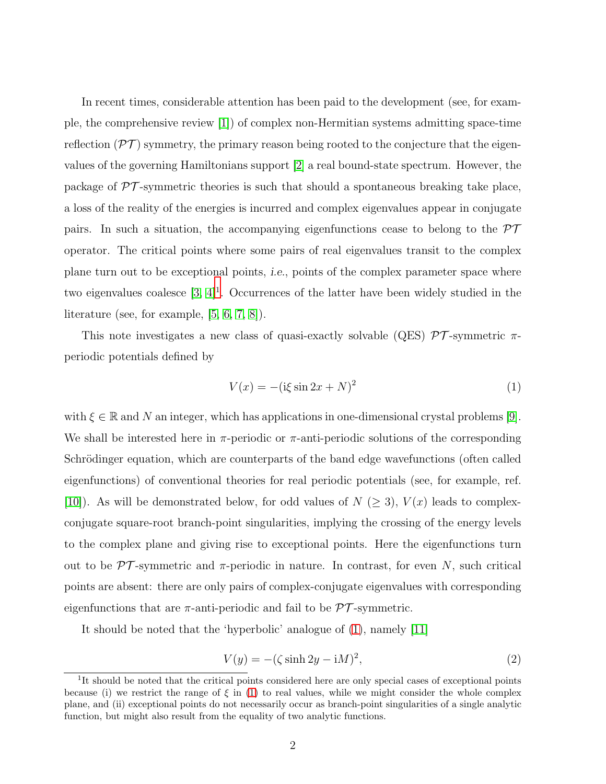In recent times, considerable attention has been paid to the development (see, for example, the comprehensive review [\[1\]](#page-7-0)) of complex non-Hermitian systems admitting space-time reflection  $(\mathcal{PT})$  symmetry, the primary reason being rooted to the conjecture that the eigenvalues of the governing Hamiltonians support [\[2\]](#page-7-1) a real bound-state spectrum. However, the package of  $\mathcal{PT}$ -symmetric theories is such that should a spontaneous breaking take place, a loss of the reality of the energies is incurred and complex eigenvalues appear in conjugate pairs. In such a situation, the accompanying eigenfunctions cease to belong to the  $\mathcal{PT}$ operator. The critical points where some pairs of real eigenvalues transit to the complex plane turn out to be exceptional points, *i.e.*, points of the complex parameter space where two eigenvalues coalesce  $[3, 4]^1$  $[3, 4]^1$  $[3, 4]^1$  $[3, 4]^1$ . Occurrences of the latter have been widely studied in the literature (see, for example, [\[5,](#page-7-4) [6,](#page-7-5) [7,](#page-7-6) [8\]](#page-7-7)).

This note investigates a new class of quasi-exactly solvable (QES)  $\mathcal{PT}$ -symmetric  $\pi$ periodic potentials defined by

<span id="page-1-1"></span>
$$
V(x) = -(\mathrm{i}\xi\sin 2x + N)^2\tag{1}
$$

with  $\xi \in \mathbb{R}$  and N an integer, which has applications in one-dimensional crystal problems [\[9\]](#page-7-8). We shall be interested here in  $\pi$ -periodic or  $\pi$ -anti-periodic solutions of the corresponding Schrödinger equation, which are counterparts of the band edge wavefunctions (often called eigenfunctions) of conventional theories for real periodic potentials (see, for example, ref. [\[10\]](#page-7-9)). As will be demonstrated below, for odd values of  $N \geq 3$ ,  $V(x)$  leads to complexconjugate square-root branch-point singularities, implying the crossing of the energy levels to the complex plane and giving rise to exceptional points. Here the eigenfunctions turn out to be  $\mathcal{PT}$ -symmetric and  $\pi$ -periodic in nature. In contrast, for even N, such critical points are absent: there are only pairs of complex-conjugate eigenvalues with corresponding eigenfunctions that are  $\pi$ -anti-periodic and fail to be  $\mathcal{PT}$ -symmetric.

It should be noted that the 'hyperbolic' analogue of [\(1\)](#page-1-1), namely [\[11\]](#page-7-10)

<span id="page-1-2"></span>
$$
V(y) = -(\zeta \sinh 2y - iM)^2,\tag{2}
$$

<span id="page-1-0"></span><sup>&</sup>lt;sup>1</sup>It should be noted that the critical points considered here are only special cases of exceptional points because (i) we restrict the range of  $\xi$  in [\(1\)](#page-1-1) to real values, while we might consider the whole complex plane, and (ii) exceptional points do not necessarily occur as branch-point singularities of a single analytic function, but might also result from the equality of two analytic functions.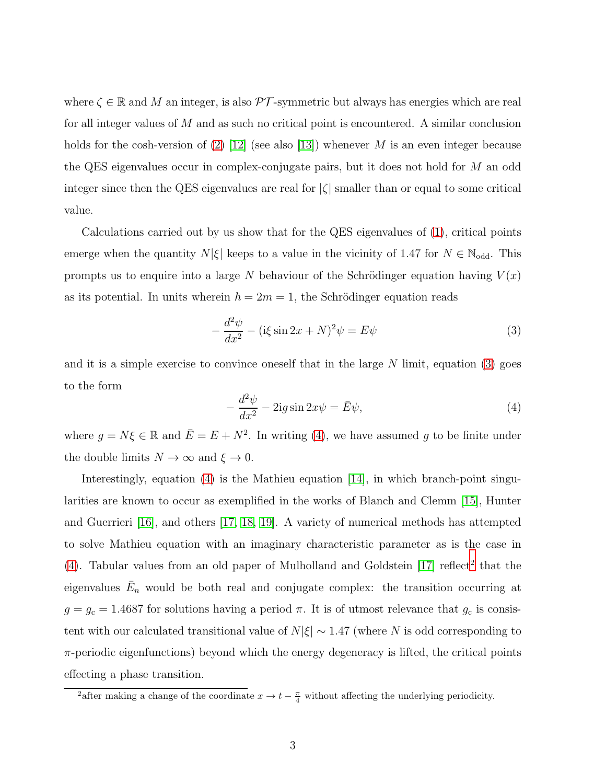where  $\zeta \in \mathbb{R}$  and M an integer, is also  $\mathcal{PT}$ -symmetric but always has energies which are real for all integer values of M and as such no critical point is encountered. A similar conclusion holds for the cosh-version of  $(2)$  [\[12\]](#page-7-11) (see also [\[13\]](#page-7-12)) whenever M is an even integer because the QES eigenvalues occur in complex-conjugate pairs, but it does not hold for M an odd integer since then the QES eigenvalues are real for  $|\zeta|$  smaller than or equal to some critical value.

Calculations carried out by us show that for the QES eigenvalues of [\(1\)](#page-1-1), critical points emerge when the quantity  $N|\xi|$  keeps to a value in the vicinity of 1.47 for  $N \in \mathbb{N}_{\text{odd}}$ . This prompts us to enquire into a large N behaviour of the Schrödinger equation having  $V(x)$ as its potential. In units wherein  $\hbar = 2m = 1$ , the Schrödinger equation reads

<span id="page-2-0"></span>
$$
-\frac{d^2\psi}{dx^2} - (\text{i}\xi\sin 2x + N)^2\psi = E\psi\tag{3}
$$

and it is a simple exercise to convince oneself that in the large  $N$  limit, equation [\(3\)](#page-2-0) goes to the form

<span id="page-2-1"></span>
$$
-\frac{d^2\psi}{dx^2} - 2ig\sin 2x\psi = \bar{E}\psi,
$$
\n(4)

where  $g = N\xi \in \mathbb{R}$  and  $\overline{E} = E + N^2$ . In writing [\(4\)](#page-2-1), we have assumed g to be finite under the double limits  $N \to \infty$  and  $\xi \to 0$ .

Interestingly, equation [\(4\)](#page-2-1) is the Mathieu equation [\[14\]](#page-7-13), in which branch-point singularities are known to occur as exemplified in the works of Blanch and Clemm [\[15\]](#page-7-14), Hunter and Guerrieri [\[16\]](#page-7-15), and others [\[17,](#page-7-16) [18,](#page-7-17) [19\]](#page-7-18). A variety of numerical methods has attempted to solve Mathieu equation with an imaginary characteristic parameter as is the case in  $(4)$ . Tabular values from an old paper of Mulholland and Goldstein  $[17]$  reflect<sup>[2](#page-2-2)</sup> that the eigenvalues  $\bar{E}_n$  would be both real and conjugate complex: the transition occurring at  $g = g_c = 1.4687$  for solutions having a period  $\pi$ . It is of utmost relevance that  $g_c$  is consistent with our calculated transitional value of  $N|\xi| \sim 1.47$  (where N is odd corresponding to  $\pi$ -periodic eigenfunctions) beyond which the energy degeneracy is lifted, the critical points effecting a phase transition.

<span id="page-2-2"></span><sup>&</sup>lt;sup>2</sup>after making a change of the coordinate  $x \to t - \frac{\pi}{4}$  without affecting the underlying periodicity.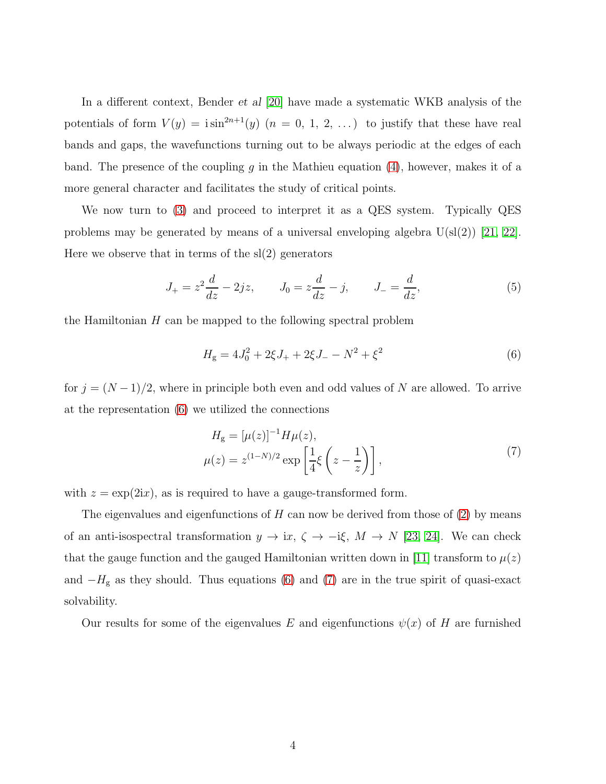In a different context, Bender *et al* [\[20\]](#page-8-0) have made a systematic WKB analysis of the potentials of form  $V(y) = i \sin^{2n+1}(y)$   $(n = 0, 1, 2, ...)$  to justify that these have real bands and gaps, the wavefunctions turning out to be always periodic at the edges of each band. The presence of the coupling g in the Mathieu equation  $(4)$ , however, makes it of a more general character and facilitates the study of critical points.

We now turn to [\(3\)](#page-2-0) and proceed to interpret it as a QES system. Typically QES problems may be generated by means of a universal enveloping algebra  $U(sl(2))$  [\[21,](#page-8-1) [22\]](#page-8-2). Here we observe that in terms of the sl(2) generators

$$
J_{+} = z^{2} \frac{d}{dz} - 2jz, \qquad J_{0} = z \frac{d}{dz} - j, \qquad J_{-} = \frac{d}{dz}, \tag{5}
$$

the Hamiltonian  $H$  can be mapped to the following spectral problem

<span id="page-3-0"></span>
$$
H_{\rm g} = 4J_0^2 + 2\xi J_+ + 2\xi J_- - N^2 + \xi^2 \tag{6}
$$

for  $j = (N-1)/2$ , where in principle both even and odd values of N are allowed. To arrive at the representation [\(6\)](#page-3-0) we utilized the connections

$$
H_{g} = [\mu(z)]^{-1} H \mu(z),
$$
  

$$
\mu(z) = z^{(1-N)/2} \exp\left[\frac{1}{4}\xi\left(z - \frac{1}{z}\right)\right],
$$
 (7)

<span id="page-3-1"></span>with  $z = \exp(2ix)$ , as is required to have a gauge-transformed form.

The eigenvalues and eigenfunctions of  $H$  can now be derived from those of  $(2)$  by means of an anti-isospectral transformation  $y \to ix$ ,  $\zeta \to -i\xi$ ,  $M \to N$  [\[23,](#page-8-3) [24\]](#page-8-4). We can check that the gauge function and the gauged Hamiltonian written down in [\[11\]](#page-7-10) transform to  $\mu(z)$ and  $-H<sub>g</sub>$  as they should. Thus equations [\(6\)](#page-3-0) and [\(7\)](#page-3-1) are in the true spirit of quasi-exact solvability.

Our results for some of the eigenvalues E and eigenfunctions  $\psi(x)$  of H are furnished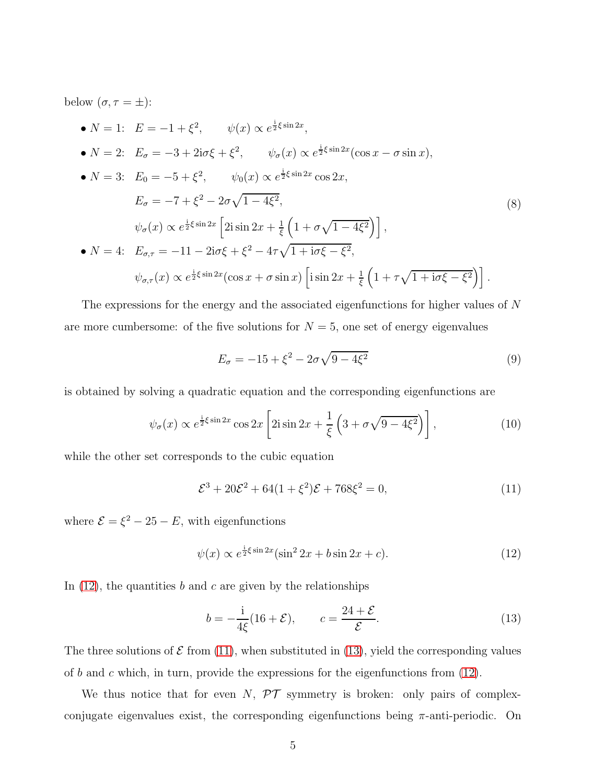below  $(\sigma, \tau = \pm)$ :

<span id="page-4-3"></span>• 
$$
N = 1
$$
:  $E = -1 + \xi^2$ ,  $\psi(x) \propto e^{\frac{1}{2}\xi \sin 2x}$ ,  
\n•  $N = 2$ :  $E_{\sigma} = -3 + 2i\sigma\xi + \xi^2$ ,  $\psi_{\sigma}(x) \propto e^{\frac{1}{2}\xi \sin 2x}(\cos x - \sigma \sin x)$ ,  
\n•  $N = 3$ :  $E_0 = -5 + \xi^2$ ,  $\psi_0(x) \propto e^{\frac{1}{2}\xi \sin 2x} \cos 2x$ ,  
\n $E_{\sigma} = -7 + \xi^2 - 2\sigma\sqrt{1 - 4\xi^2}$ ,  
\n $\psi_{\sigma}(x) \propto e^{\frac{1}{2}\xi \sin 2x} \left[2i \sin 2x + \frac{1}{\xi} \left(1 + \sigma\sqrt{1 - 4\xi^2}\right)\right]$ ,  
\n•  $N = 4$ :  $E_{\sigma,\tau} = -11 - 2i\sigma\xi + \xi^2 - 4\tau\sqrt{1 + i\sigma\xi - \xi^2}$ ,  
\n $\psi_{\sigma,\tau}(x) \propto e^{\frac{1}{2}\xi \sin 2x} (\cos x + \sigma \sin x) \left[i \sin 2x + \frac{1}{\xi} \left(1 + \tau\sqrt{1 + i\sigma\xi - \xi^2}\right)\right]$ .

The expressions for the energy and the associated eigenfunctions for higher values of N are more cumbersome: of the five solutions for  $N = 5$ , one set of energy eigenvalues

<span id="page-4-4"></span>
$$
E_{\sigma} = -15 + \xi^2 - 2\sigma\sqrt{9 - 4\xi^2}
$$
 (9)

is obtained by solving a quadratic equation and the corresponding eigenfunctions are

$$
\psi_{\sigma}(x) \propto e^{\frac{i}{2}\xi \sin 2x} \cos 2x \left[2i \sin 2x + \frac{1}{\xi} \left(3 + \sigma \sqrt{9 - 4\xi^2}\right)\right],\tag{10}
$$

while the other set corresponds to the cubic equation

<span id="page-4-1"></span>
$$
\mathcal{E}^3 + 20\mathcal{E}^2 + 64(1+\xi^2)\mathcal{E} + 768\xi^2 = 0,
$$
\n(11)

where  $\mathcal{E} = \xi^2 - 25 - E$ , with eigenfunctions

<span id="page-4-0"></span>
$$
\psi(x) \propto e^{\frac{i}{2}\xi \sin 2x} (\sin^2 2x + b \sin 2x + c). \tag{12}
$$

In  $(12)$ , the quantities b and c are given by the relationships

<span id="page-4-2"></span>
$$
b = -\frac{1}{4\xi}(16 + \mathcal{E}), \qquad c = \frac{24 + \mathcal{E}}{\mathcal{E}}.
$$
 (13)

The three solutions of  $\mathcal E$  from [\(11\)](#page-4-1), when substituted in [\(13\)](#page-4-2), yield the corresponding values of b and c which, in turn, provide the expressions for the eigenfunctions from  $(12)$ .

We thus notice that for even  $N$ ,  $\mathcal{PT}$  symmetry is broken: only pairs of complexconjugate eigenvalues exist, the corresponding eigenfunctions being  $\pi$ -anti-periodic. On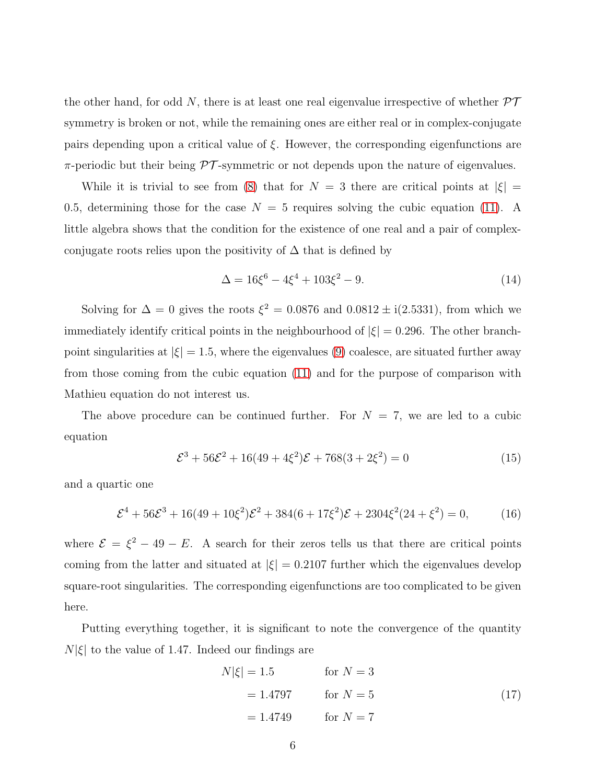the other hand, for odd N, there is at least one real eigenvalue irrespective of whether  $\mathcal{PT}$ symmetry is broken or not, while the remaining ones are either real or in complex-conjugate pairs depending upon a critical value of  $\xi$ . However, the corresponding eigenfunctions are  $\pi$ -periodic but their being  $\mathcal{PT}$ -symmetric or not depends upon the nature of eigenvalues.

While it is trivial to see from [\(8\)](#page-4-3) that for  $N = 3$  there are critical points at  $|\xi|$  = 0.5, determining those for the case  $N = 5$  requires solving the cubic equation [\(11\)](#page-4-1). A little algebra shows that the condition for the existence of one real and a pair of complexconjugate roots relies upon the positivity of  $\Delta$  that is defined by

$$
\Delta = 16\xi^6 - 4\xi^4 + 103\xi^2 - 9. \tag{14}
$$

Solving for  $\Delta = 0$  gives the roots  $\xi^2 = 0.0876$  and  $0.0812 \pm i(2.5331)$ , from which we immediately identify critical points in the neighbourhood of  $|\xi| = 0.296$ . The other branchpoint singularities at  $|\xi| = 1.5$ , where the eigenvalues [\(9\)](#page-4-4) coalesce, are situated further away from those coming from the cubic equation [\(11\)](#page-4-1) and for the purpose of comparison with Mathieu equation do not interest us.

The above procedure can be continued further. For  $N = 7$ , we are led to a cubic equation

$$
\mathcal{E}^3 + 56\mathcal{E}^2 + 16(49 + 4\xi^2)\mathcal{E} + 768(3 + 2\xi^2) = 0
$$
\n(15)

and a quartic one

$$
\mathcal{E}^4 + 56\mathcal{E}^3 + 16(49 + 10\xi^2)\mathcal{E}^2 + 384(6 + 17\xi^2)\mathcal{E} + 2304\xi^2(24 + \xi^2) = 0,\tag{16}
$$

where  $\mathcal{E} = \xi^2 - 49 - E$ . A search for their zeros tells us that there are critical points coming from the latter and situated at  $|\xi| = 0.2107$  further which the eigenvalues develop square-root singularities. The corresponding eigenfunctions are too complicated to be given here.

Putting everything together, it is significant to note the convergence of the quantity  $N|\xi|$  to the value of 1.47. Indeed our findings are

$$
N|\xi| = 1.5 \qquad \text{for } N = 3
$$
  
= 1.4797 \qquad \text{for } N = 5  
= 1.4749 \qquad \text{for } N = 7 (17)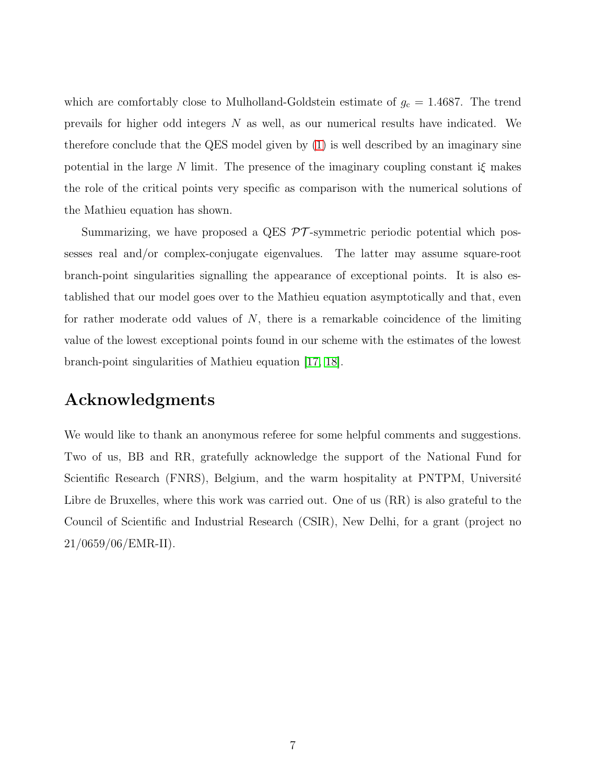which are comfortably close to Mulholland-Goldstein estimate of  $g_c = 1.4687$ . The trend prevails for higher odd integers N as well, as our numerical results have indicated. We therefore conclude that the QES model given by [\(1\)](#page-1-1) is well described by an imaginary sine potential in the large N limit. The presence of the imaginary coupling constant  $i\xi$  makes the role of the critical points very specific as comparison with the numerical solutions of the Mathieu equation has shown.

Summarizing, we have proposed a QES  $\mathcal{PT}$ -symmetric periodic potential which possesses real and/or complex-conjugate eigenvalues. The latter may assume square-root branch-point singularities signalling the appearance of exceptional points. It is also established that our model goes over to the Mathieu equation asymptotically and that, even for rather moderate odd values of  $N$ , there is a remarkable coincidence of the limiting value of the lowest exceptional points found in our scheme with the estimates of the lowest branch-point singularities of Mathieu equation [\[17,](#page-7-16) [18\]](#page-7-17).

## Acknowledgments

We would like to thank an anonymous referee for some helpful comments and suggestions. Two of us, BB and RR, gratefully acknowledge the support of the National Fund for Scientific Research (FNRS), Belgium, and the warm hospitality at PNTPM, Université Libre de Bruxelles, where this work was carried out. One of us (RR) is also grateful to the Council of Scientific and Industrial Research (CSIR), New Delhi, for a grant (project no 21/0659/06/EMR-II).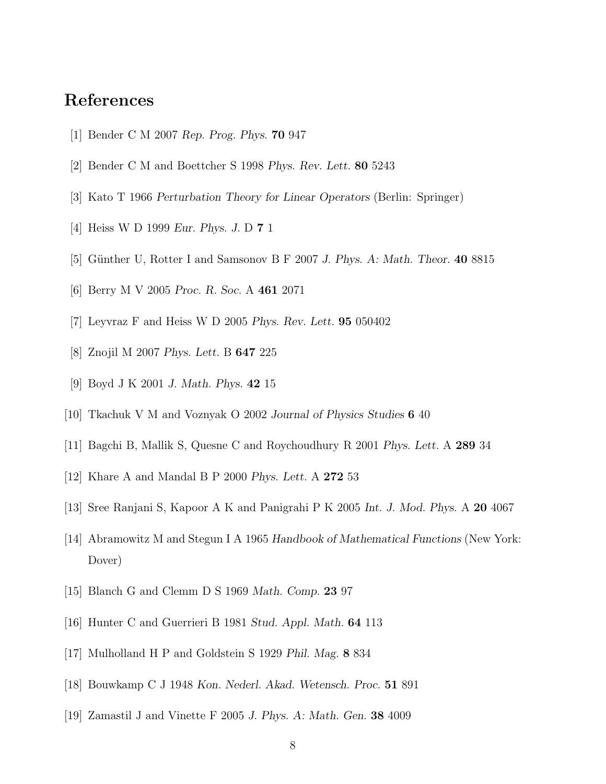## <span id="page-7-0"></span>References

- <span id="page-7-1"></span>[1] Bender C M 2007 *Rep. Prog. Phys.* 70 947
- <span id="page-7-2"></span>[2] Bender C M and Boettcher S 1998 *Phys. Rev. Lett.* 80 5243
- <span id="page-7-3"></span>[3] Kato T 1966 *Perturbation Theory for Linear Operators* (Berlin: Springer)
- <span id="page-7-4"></span>[4] Heiss W D 1999 *Eur. Phys. J.* D 7 1
- <span id="page-7-5"></span>[5] G¨unther U, Rotter I and Samsonov B F 2007 *J. Phys. A: Math. Theor.* 40 8815
- <span id="page-7-6"></span>[6] Berry M V 2005 *Proc. R. Soc.* A 461 2071
- <span id="page-7-7"></span>[7] Leyvraz F and Heiss W D 2005 *Phys. Rev. Lett.* 95 050402
- <span id="page-7-8"></span>[8] Znojil M 2007 *Phys. Lett.* B 647 225
- <span id="page-7-9"></span>[9] Boyd J K 2001 *J. Math. Phys.* 42 15
- <span id="page-7-10"></span>[10] Tkachuk V M and Voznyak O 2002 *Journal of Physics Studies* 6 40
- <span id="page-7-11"></span>[11] Bagchi B, Mallik S, Quesne C and Roychoudhury R 2001 *Phys. Lett.* A 289 34
- <span id="page-7-12"></span>[12] Khare A and Mandal B P 2000 *Phys. Lett.* A 272 53
- <span id="page-7-13"></span>[13] Sree Ranjani S, Kapoor A K and Panigrahi P K 2005 *Int. J. Mod. Phys.* A 20 4067
- <span id="page-7-14"></span>[14] Abramowitz M and Stegun I A 1965 *Handbook of Mathematical Functions* (New York: Dover)
- <span id="page-7-15"></span>[15] Blanch G and Clemm D S 1969 *Math. Comp.* 23 97
- <span id="page-7-16"></span>[16] Hunter C and Guerrieri B 1981 *Stud. Appl. Math.* 64 113
- <span id="page-7-17"></span>[17] Mulholland H P and Goldstein S 1929 *Phil. Mag.* 8 834
- <span id="page-7-18"></span>[18] Bouwkamp C J 1948 *Kon. Nederl. Akad. Wetensch. Proc.* 51 891
- [19] Zamastil J and Vinette F 2005 *J. Phys. A: Math. Gen.* 38 4009